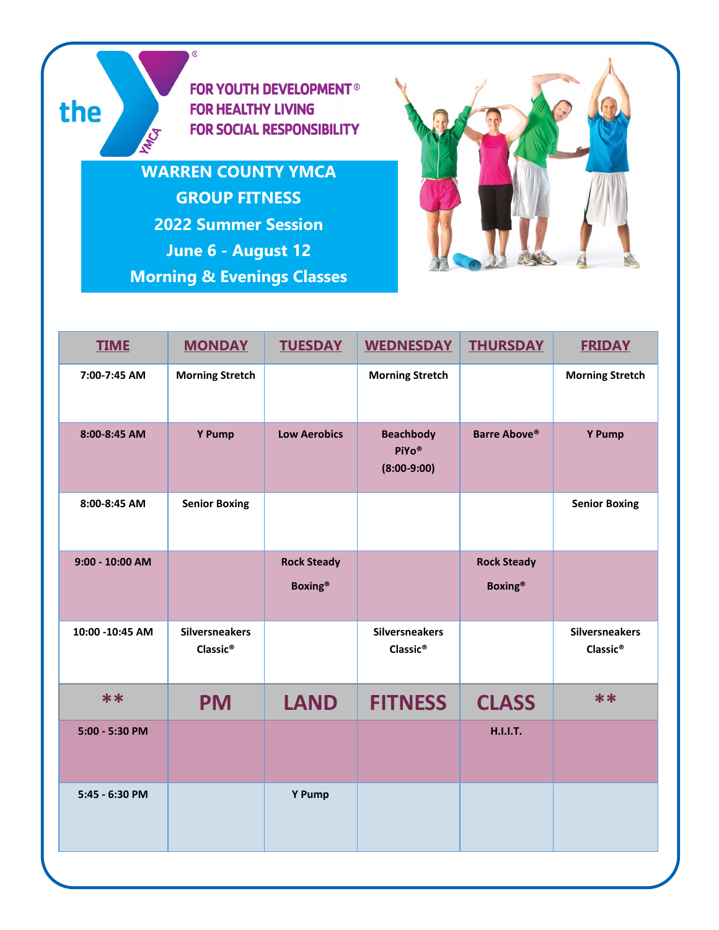**FOR YOUTH DEVELOPMENT® FOR HEALTHY LIVING FOR SOCIAL RESPONSIBILITY** 

**WARREN COUNTY YMCA GROUP FITNESS 2022 Summer Session June 6 - August 12 Morning & Evenings Classes**

 $^{\circledR}$ 

**HATCA** 

the



| <b>TIME</b>       | <b>MONDAY</b>                                 | <b>TUESDAY</b>                       | <b>WEDNESDAY</b>                              | <b>THURSDAY</b>                      | <b>FRIDAY</b>                                 |
|-------------------|-----------------------------------------------|--------------------------------------|-----------------------------------------------|--------------------------------------|-----------------------------------------------|
| 7:00-7:45 AM      | <b>Morning Stretch</b>                        |                                      | <b>Morning Stretch</b>                        |                                      | <b>Morning Stretch</b>                        |
| 8:00-8:45 AM      | Y Pump                                        | <b>Low Aerobics</b>                  | <b>Beachbody</b><br>PiYo®<br>$(8:00-9:00)$    | <b>Barre Above®</b>                  | Y Pump                                        |
| 8:00-8:45 AM      | <b>Senior Boxing</b>                          |                                      |                                               |                                      | <b>Senior Boxing</b>                          |
| $9:00 - 10:00$ AM |                                               | <b>Rock Steady</b><br><b>Boxing®</b> |                                               | <b>Rock Steady</b><br><b>Boxing®</b> |                                               |
| 10:00 -10:45 AM   | <b>Silversneakers</b><br>Classic <sup>®</sup> |                                      | <b>Silversneakers</b><br>Classic <sup>®</sup> |                                      | <b>Silversneakers</b><br>Classic <sup>®</sup> |
| $**$              | <b>PM</b>                                     | <b>LAND</b>                          | <b>FITNESS</b>                                | <b>CLASS</b>                         | **                                            |
| 5:00 - 5:30 PM    |                                               |                                      |                                               | <b>H.I.I.T.</b>                      |                                               |
| 5:45 - 6:30 PM    |                                               | Y Pump                               |                                               |                                      |                                               |